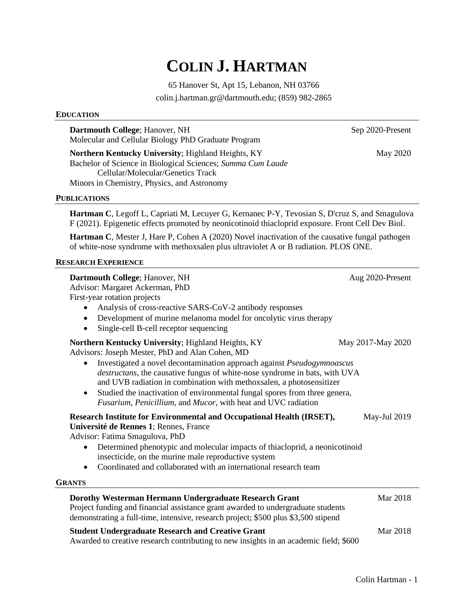# **COLIN J. HARTMAN**

65 Hanover St, Apt 15, Lebanon, NH 03766

colin.j.hartman.gr@dartmouth.edu; (859) 982-2865

# **EDUCATION**

**Dartmouth College**; Hanover, NH Sep 2020-Present Molecular and Cellular Biology PhD Graduate Program

**Northern Kentucky University**; Highland Heights, KY May 2020 Bachelor of Science in Biological Sciences; *Summa Cum Laude* Cellular/Molecular/Genetics Track Minors in Chemistry, Physics, and Astronomy

### **PUBLICATIONS**

**Hartman C**, Legoff L, Capriati M, Lecuyer G, Kernanec P-Y, Tevosian S, D'cruz S, and Smagulova F (2021). Epigenetic effects promoted by neonicotinoid thiacloprid exposure. Front Cell Dev Biol.

**Hartman C**, Mester J, Hare P, Cohen A (2020) Novel inactivation of the causative fungal pathogen of white-nose syndrome with methoxsalen plus ultraviolet A or B radiation. PLOS ONE.

### **RESEARCH EXPERIENCE**

| Dartmouth College; Hanover, NH<br>Advisor: Margaret Ackerman, PhD<br>First-year rotation projects<br>Analysis of cross-reactive SARS-CoV-2 antibody responses<br>Development of murine melanoma model for oncolytic virus therapy<br>$\bullet$<br>Single-cell B-cell receptor sequencing<br>$\bullet$                                                                                                                                                                                             | Aug 2020-Present  |
|---------------------------------------------------------------------------------------------------------------------------------------------------------------------------------------------------------------------------------------------------------------------------------------------------------------------------------------------------------------------------------------------------------------------------------------------------------------------------------------------------|-------------------|
| Northern Kentucky University; Highland Heights, KY<br>Advisors: Joseph Mester, PhD and Alan Cohen, MD<br>Investigated a novel decontamination approach against Pseudogymnoascus<br>destructans, the causative fungus of white-nose syndrome in bats, with UVA<br>and UVB radiation in combination with methoxsalen, a photosensitizer<br>Studied the inactivation of environmental fungal spores from three genera,<br>$\bullet$<br>Fusarium, Penicillium, and Mucor, with heat and UVC radiation | May 2017-May 2020 |
| Research Institute for Environmental and Occupational Health (IRSET),<br>Université de Rennes 1; Rennes, France<br>Advisor: Fatima Smagulova, PhD<br>Determined phenotypic and molecular impacts of thiacloprid, a neonicotinoid<br>$\bullet$<br>insecticide, on the murine male reproductive system<br>Coordinated and collaborated with an international research team<br>$\bullet$<br><b>GRANTS</b>                                                                                            | May-Jul 2019      |
| Dorothy Westerman Hermann Undergraduate Research Grant<br>Project funding and financial assistance grant awarded to undergraduate students<br>demonstrating a full-time, intensive, research project; \$500 plus \$3,500 stipend                                                                                                                                                                                                                                                                  | Mar 2018          |
| <b>Student Undergraduate Research and Creative Grant</b><br>Awarded to creative research contributing to new insights in an academic field; \$600                                                                                                                                                                                                                                                                                                                                                 | Mar 2018          |